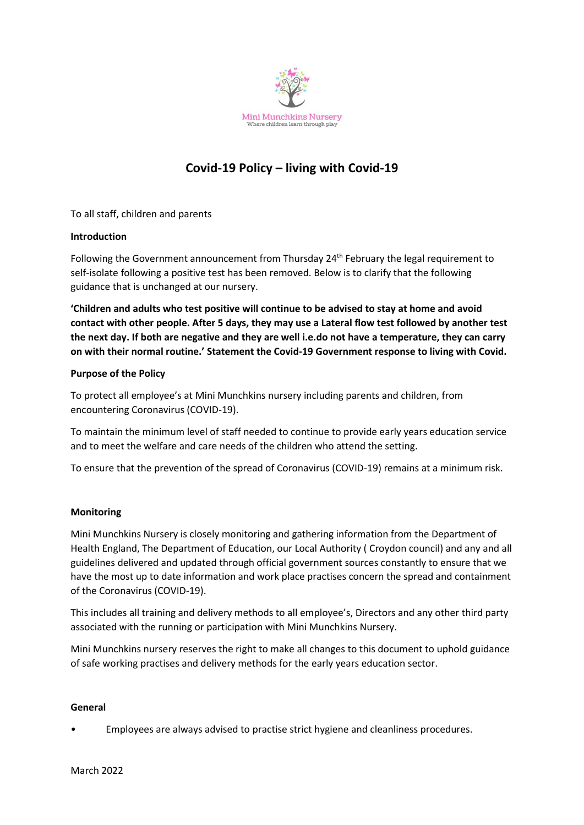

# **Covid-19 Policy – living with Covid-19**

To all staff, children and parents

## **Introduction**

Following the Government announcement from Thursday 24<sup>th</sup> February the legal requirement to self-isolate following a positive test has been removed. Below is to clarify that the following guidance that is unchanged at our nursery.

**'Children and adults who test positive will continue to be advised to stay at home and avoid contact with other people. After 5 days, they may use a Lateral flow test followed by another test the next day. If both are negative and they are well i.e.do not have a temperature, they can carry on with their normal routine.' Statement the Covid-19 Government response to living with Covid.**

## **Purpose of the Policy**

To protect all employee's at Mini Munchkins nursery including parents and children, from encountering Coronavirus (COVID-19).

To maintain the minimum level of staff needed to continue to provide early years education service and to meet the welfare and care needs of the children who attend the setting.

To ensure that the prevention of the spread of Coronavirus (COVID-19) remains at a minimum risk.

## **Monitoring**

Mini Munchkins Nursery is closely monitoring and gathering information from the Department of Health England, The Department of Education, our Local Authority ( Croydon council) and any and all guidelines delivered and updated through official government sources constantly to ensure that we have the most up to date information and work place practises concern the spread and containment of the Coronavirus (COVID-19).

This includes all training and delivery methods to all employee's, Directors and any other third party associated with the running or participation with Mini Munchkins Nursery.

Mini Munchkins nursery reserves the right to make all changes to this document to uphold guidance of safe working practises and delivery methods for the early years education sector.

#### **General**

• Employees are always advised to practise strict hygiene and cleanliness procedures.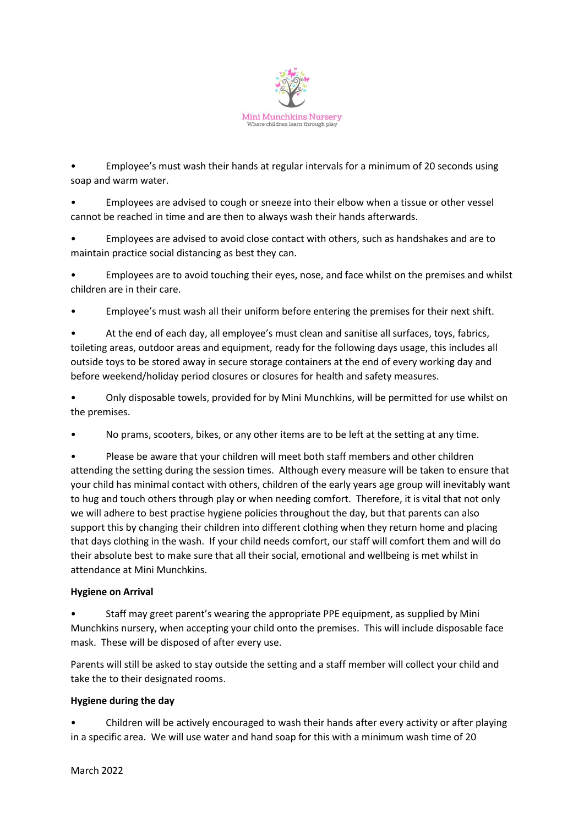

• Employee's must wash their hands at regular intervals for a minimum of 20 seconds using soap and warm water.

• Employees are advised to cough or sneeze into their elbow when a tissue or other vessel cannot be reached in time and are then to always wash their hands afterwards.

• Employees are advised to avoid close contact with others, such as handshakes and are to maintain practice social distancing as best they can.

• Employees are to avoid touching their eyes, nose, and face whilst on the premises and whilst children are in their care.

• Employee's must wash all their uniform before entering the premises for their next shift.

• At the end of each day, all employee's must clean and sanitise all surfaces, toys, fabrics, toileting areas, outdoor areas and equipment, ready for the following days usage, this includes all outside toys to be stored away in secure storage containers at the end of every working day and before weekend/holiday period closures or closures for health and safety measures.

• Only disposable towels, provided for by Mini Munchkins, will be permitted for use whilst on the premises.

• No prams, scooters, bikes, or any other items are to be left at the setting at any time.

• Please be aware that your children will meet both staff members and other children attending the setting during the session times. Although every measure will be taken to ensure that your child has minimal contact with others, children of the early years age group will inevitably want to hug and touch others through play or when needing comfort. Therefore, it is vital that not only we will adhere to best practise hygiene policies throughout the day, but that parents can also support this by changing their children into different clothing when they return home and placing that days clothing in the wash. If your child needs comfort, our staff will comfort them and will do their absolute best to make sure that all their social, emotional and wellbeing is met whilst in attendance at Mini Munchkins.

## **Hygiene on Arrival**

• Staff may greet parent's wearing the appropriate PPE equipment, as supplied by Mini Munchkins nursery, when accepting your child onto the premises. This will include disposable face mask. These will be disposed of after every use.

Parents will still be asked to stay outside the setting and a staff member will collect your child and take the to their designated rooms.

## **Hygiene during the day**

• Children will be actively encouraged to wash their hands after every activity or after playing in a specific area. We will use water and hand soap for this with a minimum wash time of 20